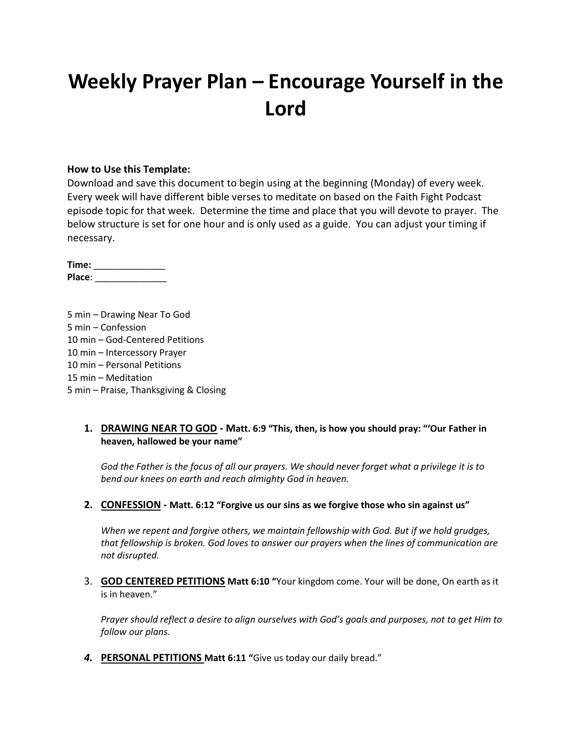# **Weekly Prayer Plan – Encourage Yourself in the Lord**

### **How to Use this Template:**

Download and save this document to begin using at the beginning (Monday) of every week. Every week will have different bible verses to meditate on based on the Faith Fight Podcast episode topic for that week. Determine the time and place that you will devote to prayer. The below structure is set for one hour and is only used as a guide. You can adjust your timing if necessary.

**Time:** \_\_\_\_\_\_\_\_\_\_\_\_\_\_ **Place**: \_\_\_\_\_\_\_\_\_\_\_\_\_\_

5 min – Drawing Near To God 5 min – Confession 10 min – God-Centered Petitions 10 min – Intercessory Prayer 10 min – Personal Petitions 15 min – Meditation 5 min – Praise, Thanksgiving & Closing

### **1. DRAWING NEAR TO GOD - Matt. 6:9 "This, then, is how you should pray: "'Our Father in heaven, hallowed be your name"**

*God the Father is the focus of all our prayers. We should never forget what a privilege it is to bend our knees on earth and reach almighty God in heaven.*

#### **2. CONFESSION - Matt. 6:12 "Forgive us our sins as we forgive those who sin against us"**

*When we repent and forgive others, we maintain fellowship with God. But if we hold grudges, that fellowship is broken. God loves to answer our prayers when the lines of communication are not disrupted.*

3. **GOD CENTERED PETITIONS Matt 6:10 "**Your kingdom come. Your will be done, On earth as it is in heaven."

*Prayer should reflect a desire to align ourselves with God's goals and purposes, not to get Him to follow our plans.*

*4.* **PERSONAL PETITIONS Matt 6:11 "**Give us today our daily bread."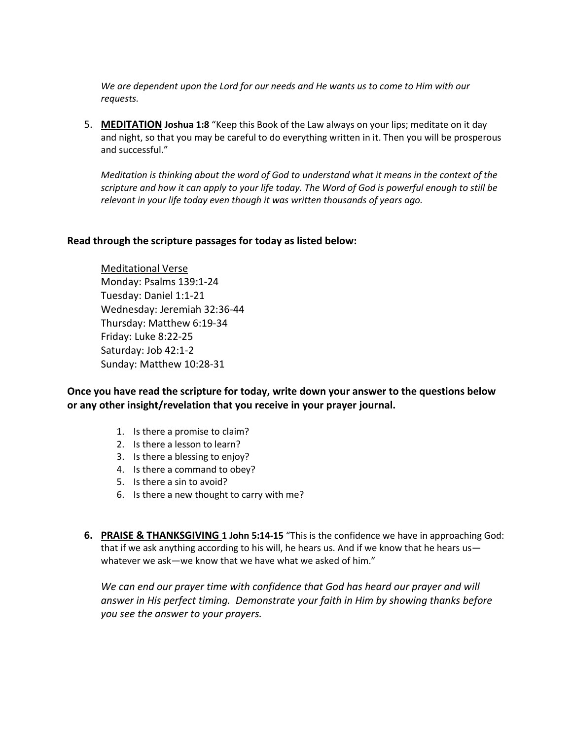*We are dependent upon the Lord for our needs and He wants us to come to Him with our requests.*

5. **MEDITATION Joshua 1:8** "Keep this Book of the Law always on your lips; meditate on it day and night, so that you may be careful to do everything written in it. Then you will be prosperous and successful."

*Meditation is thinking about the word of God to understand what it means in the context of the scripture and how it can apply to your life today. The Word of God is powerful enough to still be relevant in your life today even though it was written thousands of years ago.*

#### **Read through the scripture passages for today as listed below:**

Meditational Verse Monday: Psalms 139:1-24 Tuesday: Daniel 1:1-21 Wednesday: Jeremiah 32:36-44 Thursday: Matthew 6:19-34 Friday: Luke 8:22-25 Saturday: Job 42:1-2 Sunday: Matthew 10:28-31

**Once you have read the scripture for today, write down your answer to the questions below or any other insight/revelation that you receive in your prayer journal.** 

- 1. Is there a promise to claim?
- 2. Is there a lesson to learn?
- 3. Is there a blessing to enjoy?
- 4. Is there a command to obey?
- 5. Is there a sin to avoid?
- 6. Is there a new thought to carry with me?
- **6. PRAISE & THANKSGIVING 1 John 5:14-15** "This is the confidence we have in approaching God: that if we ask anything according to his will, he hears us. And if we know that he hears us whatever we ask—we know that we have what we asked of him."

*We can end our prayer time with confidence that God has heard our prayer and will answer in His perfect timing. Demonstrate your faith in Him by showing thanks before you see the answer to your prayers.*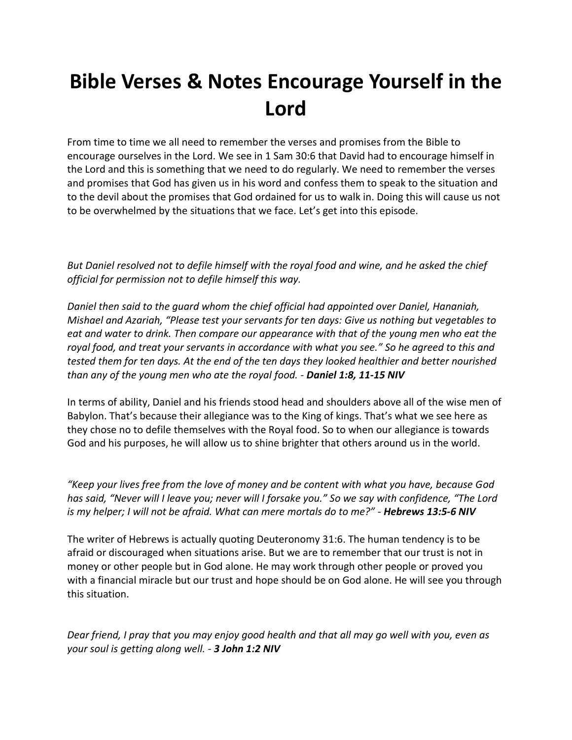# **Bible Verses & Notes Encourage Yourself in the Lord**

From time to time we all need to remember the verses and promises from the Bible to encourage ourselves in the Lord. We see in 1 Sam 30:6 that David had to encourage himself in the Lord and this is something that we need to do regularly. We need to remember the verses and promises that God has given us in his word and confess them to speak to the situation and to the devil about the promises that God ordained for us to walk in. Doing this will cause us not to be overwhelmed by the situations that we face. Let's get into this episode.

*But Daniel resolved not to defile himself with the royal food and wine, and he asked the chief official for permission not to defile himself this way.* 

*Daniel then said to the guard whom the chief official had appointed over Daniel, Hananiah, Mishael and Azariah, "Please test your servants for ten days: Give us nothing but vegetables to eat and water to drink. Then compare our appearance with that of the young men who eat the royal food, and treat your servants in accordance with what you see." So he agreed to this and tested them for ten days. At the end of the ten days they looked healthier and better nourished than any of the young men who ate the royal food. - Daniel 1:8, 11-15 NIV*

In terms of ability, Daniel and his friends stood head and shoulders above all of the wise men of Babylon. That's because their allegiance was to the King of kings. That's what we see here as they chose no to defile themselves with the Royal food. So to when our allegiance is towards God and his purposes, he will allow us to shine brighter that others around us in the world.

*"Keep your lives free from the love of money and be content with what you have, because God has said, "Never will I leave you; never will I forsake you." So we say with confidence, "The Lord is my helper; I will not be afraid. What can mere mortals do to me?" - Hebrews 13:5-6 NIV*

The writer of Hebrews is actually quoting Deuteronomy 31:6. The human tendency is to be afraid or discouraged when situations arise. But we are to remember that our trust is not in money or other people but in God alone. He may work through other people or proved you with a financial miracle but our trust and hope should be on God alone. He will see you through this situation.

*Dear friend, I pray that you may enjoy good health and that all may go well with you, even as your soul is getting along well. - 3 John 1:2 NIV*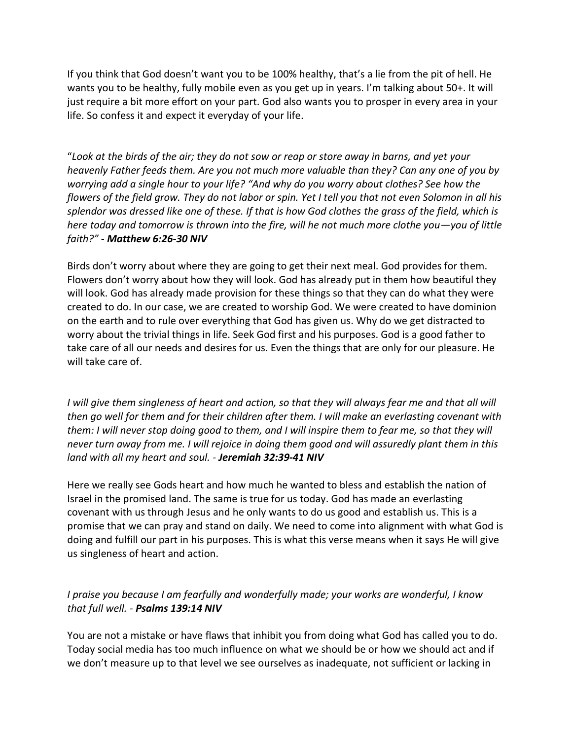If you think that God doesn't want you to be 100% healthy, that's a lie from the pit of hell. He wants you to be healthy, fully mobile even as you get up in years. I'm talking about 50+. It will just require a bit more effort on your part. God also wants you to prosper in every area in your life. So confess it and expect it everyday of your life.

"*Look at the birds of the air; they do not sow or reap or store away in barns, and yet your heavenly Father feeds them. Are you not much more valuable than they? Can any one of you by worrying add a single hour to your life? "And why do you worry about clothes? See how the flowers of the field grow. They do not labor or spin. Yet I tell you that not even Solomon in all his splendor was dressed like one of these. If that is how God clothes the grass of the field, which is here today and tomorrow is thrown into the fire, will he not much more clothe you—you of little faith?" - Matthew 6:26-30 NIV*

Birds don't worry about where they are going to get their next meal. God provides for them. Flowers don't worry about how they will look. God has already put in them how beautiful they will look. God has already made provision for these things so that they can do what they were created to do. In our case, we are created to worship God. We were created to have dominion on the earth and to rule over everything that God has given us. Why do we get distracted to worry about the trivial things in life. Seek God first and his purposes. God is a good father to take care of all our needs and desires for us. Even the things that are only for our pleasure. He will take care of.

*I* will give them singleness of heart and action, so that they will always fear me and that all will *then go well for them and for their children after them. I will make an everlasting covenant with them: I will never stop doing good to them, and I will inspire them to fear me, so that they will never turn away from me. I will rejoice in doing them good and will assuredly plant them in this land with all my heart and soul. - Jeremiah 32:39-41 NIV*

Here we really see Gods heart and how much he wanted to bless and establish the nation of Israel in the promised land. The same is true for us today. God has made an everlasting covenant with us through Jesus and he only wants to do us good and establish us. This is a promise that we can pray and stand on daily. We need to come into alignment with what God is doing and fulfill our part in his purposes. This is what this verse means when it says He will give us singleness of heart and action.

## *I praise you because I am fearfully and wonderfully made; your works are wonderful, I know that full well. - Psalms 139:14 NIV*

You are not a mistake or have flaws that inhibit you from doing what God has called you to do. Today social media has too much influence on what we should be or how we should act and if we don't measure up to that level we see ourselves as inadequate, not sufficient or lacking in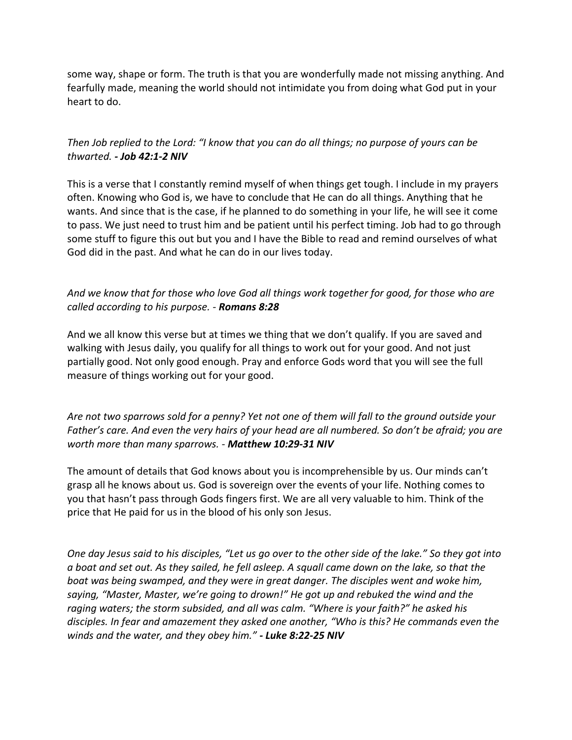some way, shape or form. The truth is that you are wonderfully made not missing anything. And fearfully made, meaning the world should not intimidate you from doing what God put in your heart to do.

## *Then Job replied to the Lord: "I know that you can do all things; no purpose of yours can be thwarted. - Job 42:1-2 NIV*

This is a verse that I constantly remind myself of when things get tough. I include in my prayers often. Knowing who God is, we have to conclude that He can do all things. Anything that he wants. And since that is the case, if he planned to do something in your life, he will see it come to pass. We just need to trust him and be patient until his perfect timing. Job had to go through some stuff to figure this out but you and I have the Bible to read and remind ourselves of what God did in the past. And what he can do in our lives today.

# *And we know that for those who love God all things work together for good, for those who are called according to his purpose. - Romans 8:28*

And we all know this verse but at times we thing that we don't qualify. If you are saved and walking with Jesus daily, you qualify for all things to work out for your good. And not just partially good. Not only good enough. Pray and enforce Gods word that you will see the full measure of things working out for your good.

## *Are not two sparrows sold for a penny? Yet not one of them will fall to the ground outside your Father's care. And even the very hairs of your head are all numbered. So don't be afraid; you are worth more than many sparrows. - Matthew 10:29-31 NIV*

The amount of details that God knows about you is incomprehensible by us. Our minds can't grasp all he knows about us. God is sovereign over the events of your life. Nothing comes to you that hasn't pass through Gods fingers first. We are all very valuable to him. Think of the price that He paid for us in the blood of his only son Jesus.

*One day Jesus said to his disciples, "Let us go over to the other side of the lake." So they got into a boat and set out. As they sailed, he fell asleep. A squall came down on the lake, so that the boat was being swamped, and they were in great danger. The disciples went and woke him, saying, "Master, Master, we're going to drown!" He got up and rebuked the wind and the raging waters; the storm subsided, and all was calm. "Where is your faith?" he asked his disciples. In fear and amazement they asked one another, "Who is this? He commands even the winds and the water, and they obey him." - Luke 8:22-25 NIV*